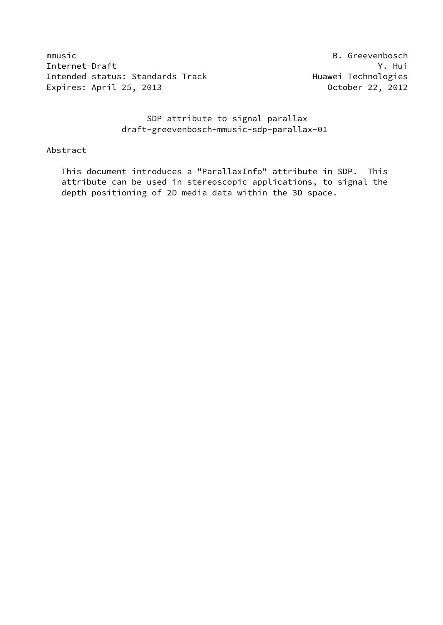mmusic **B. Greevenbosch** Internet-Draft Y. Hui Intended status: Standards Track Huawei Technologies Expires: April 25, 2013 October 22, 2012

 SDP attribute to signal parallax draft-greevenbosch-mmusic-sdp-parallax-01

## Abstract

 This document introduces a "ParallaxInfo" attribute in SDP. This attribute can be used in stereoscopic applications, to signal the depth positioning of 2D media data within the 3D space.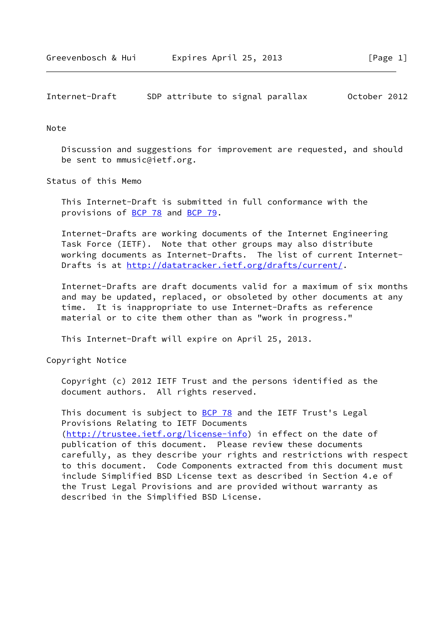#### Note

 Discussion and suggestions for improvement are requested, and should be sent to mmusic@ietf.org.

Status of this Memo

 This Internet-Draft is submitted in full conformance with the provisions of [BCP 78](https://datatracker.ietf.org/doc/pdf/bcp78) and [BCP 79](https://datatracker.ietf.org/doc/pdf/bcp79).

 Internet-Drafts are working documents of the Internet Engineering Task Force (IETF). Note that other groups may also distribute working documents as Internet-Drafts. The list of current Internet- Drafts is at<http://datatracker.ietf.org/drafts/current/>.

 Internet-Drafts are draft documents valid for a maximum of six months and may be updated, replaced, or obsoleted by other documents at any time. It is inappropriate to use Internet-Drafts as reference material or to cite them other than as "work in progress."

This Internet-Draft will expire on April 25, 2013.

Copyright Notice

 Copyright (c) 2012 IETF Trust and the persons identified as the document authors. All rights reserved.

This document is subject to **[BCP 78](https://datatracker.ietf.org/doc/pdf/bcp78)** and the IETF Trust's Legal Provisions Relating to IETF Documents [\(http://trustee.ietf.org/license-info](http://trustee.ietf.org/license-info)) in effect on the date of publication of this document. Please review these documents carefully, as they describe your rights and restrictions with respect to this document. Code Components extracted from this document must include Simplified BSD License text as described in Section 4.e of the Trust Legal Provisions and are provided without warranty as described in the Simplified BSD License.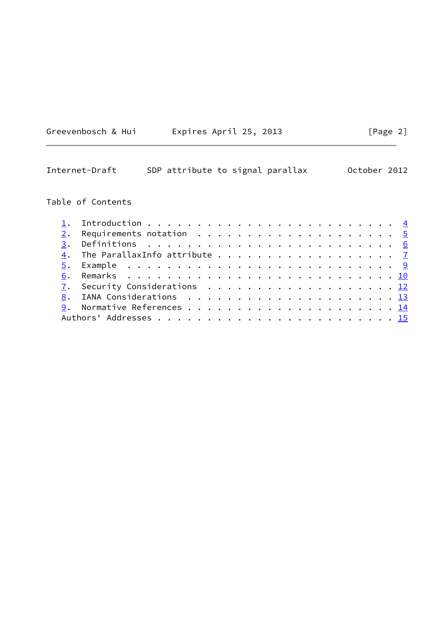|  | Greevenbosch & Hui |  | Expires April 25, 2013 |  |  |  |
|--|--------------------|--|------------------------|--|--|--|
|--|--------------------|--|------------------------|--|--|--|

## Table of Contents

|  | 4. The ParallaxInfo attribute 7 |  |  |  |  |  |  |  |  |  |  |
|--|---------------------------------|--|--|--|--|--|--|--|--|--|--|
|  |                                 |  |  |  |  |  |  |  |  |  |  |
|  |                                 |  |  |  |  |  |  |  |  |  |  |
|  | 7. Security Considerations 12   |  |  |  |  |  |  |  |  |  |  |
|  |                                 |  |  |  |  |  |  |  |  |  |  |
|  |                                 |  |  |  |  |  |  |  |  |  |  |
|  |                                 |  |  |  |  |  |  |  |  |  |  |
|  |                                 |  |  |  |  |  |  |  |  |  |  |

 $[Page 2]$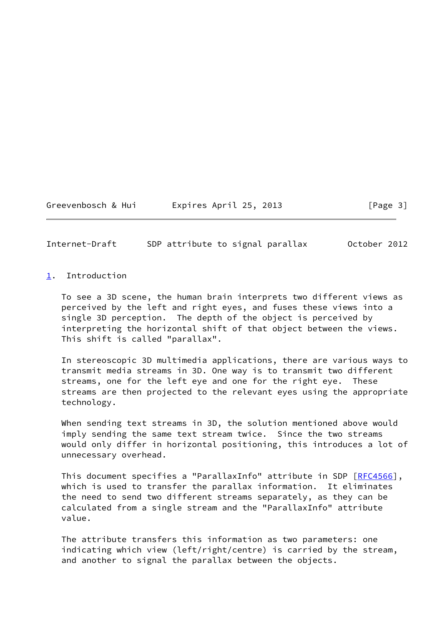Greevenbosch & Hui Expires April 25, 2013 [Page 3]

<span id="page-3-1"></span>Internet-Draft SDP attribute to signal parallax October 2012

<span id="page-3-0"></span>[1](#page-3-0). Introduction

 To see a 3D scene, the human brain interprets two different views as perceived by the left and right eyes, and fuses these views into a single 3D perception. The depth of the object is perceived by interpreting the horizontal shift of that object between the views. This shift is called "parallax".

 In stereoscopic 3D multimedia applications, there are various ways to transmit media streams in 3D. One way is to transmit two different streams, one for the left eye and one for the right eye. These streams are then projected to the relevant eyes using the appropriate technology.

 When sending text streams in 3D, the solution mentioned above would imply sending the same text stream twice. Since the two streams would only differ in horizontal positioning, this introduces a lot of unnecessary overhead.

This document specifies a "ParallaxInfo" attribute in SDP [[RFC4566](https://datatracker.ietf.org/doc/pdf/rfc4566)], which is used to transfer the parallax information. It eliminates the need to send two different streams separately, as they can be calculated from a single stream and the "ParallaxInfo" attribute value.

 The attribute transfers this information as two parameters: one indicating which view (left/right/centre) is carried by the stream, and another to signal the parallax between the objects.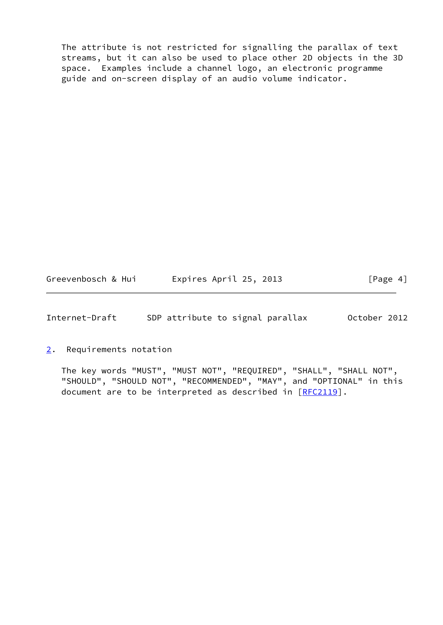The attribute is not restricted for signalling the parallax of text streams, but it can also be used to place other 2D objects in the 3D space. Examples include a channel logo, an electronic programme guide and on-screen display of an audio volume indicator.

Greevenbosch & Hui Fxpires April 25, 2013 [Page 4]

<span id="page-4-1"></span>Internet-Draft SDP attribute to signal parallax October 2012

<span id="page-4-0"></span>[2](#page-4-0). Requirements notation

 The key words "MUST", "MUST NOT", "REQUIRED", "SHALL", "SHALL NOT", "SHOULD", "SHOULD NOT", "RECOMMENDED", "MAY", and "OPTIONAL" in this document are to be interpreted as described in [\[RFC2119](https://datatracker.ietf.org/doc/pdf/rfc2119)].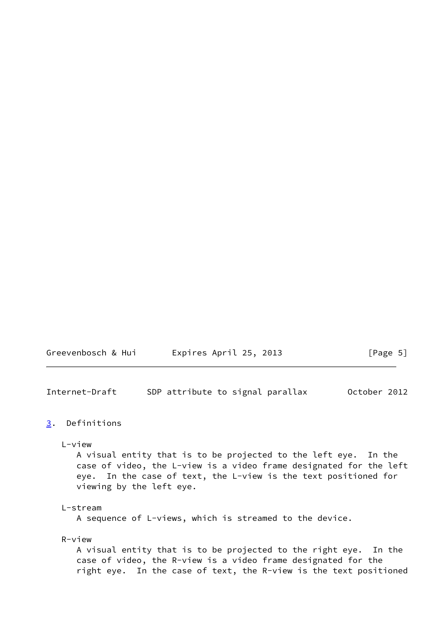<span id="page-5-1"></span>

| Greevenbosch & Hui | Expires April 25, 2013 | [Page 5] |
|--------------------|------------------------|----------|
|--------------------|------------------------|----------|

## <span id="page-5-0"></span>[3](#page-5-0). Definitions

L-view

 A visual entity that is to be projected to the left eye. In the case of video, the L-view is a video frame designated for the left eye. In the case of text, the L-view is the text positioned for viewing by the left eye.

#### L-stream

A sequence of L-views, which is streamed to the device.

## R-view

 A visual entity that is to be projected to the right eye. In the case of video, the R-view is a video frame designated for the right eye. In the case of text, the R-view is the text positioned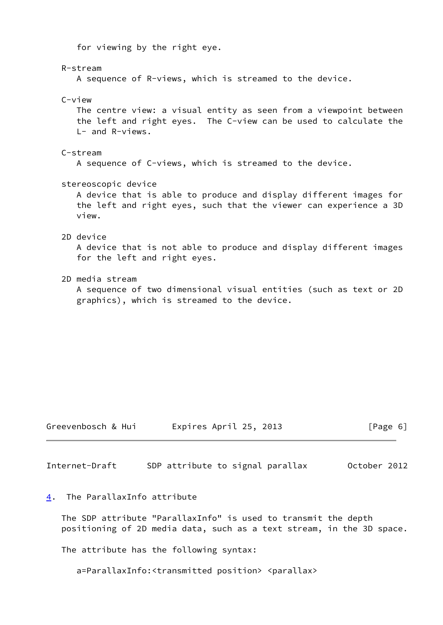for viewing by the right eye.

 R-stream A sequence of R-views, which is streamed to the device. C-view The centre view: a visual entity as seen from a viewpoint between the left and right eyes. The C-view can be used to calculate the L- and R-views. C-stream A sequence of C-views, which is streamed to the device. stereoscopic device A device that is able to produce and display different images for the left and right eyes, such that the viewer can experience a 3D view. 2D device A device that is not able to produce and display different images for the left and right eyes. 2D media stream A sequence of two dimensional visual entities (such as text or 2D graphics), which is streamed to the device.

Greevenbosch & Hui Expires April 25, 2013 [Page 6]

<span id="page-6-1"></span>Internet-Draft SDP attribute to signal parallax October 2012

## <span id="page-6-0"></span>[4](#page-6-0). The ParallaxInfo attribute

 The SDP attribute "ParallaxInfo" is used to transmit the depth positioning of 2D media data, such as a text stream, in the 3D space.

The attribute has the following syntax:

a=ParallaxInfo:<transmitted position> <parallax>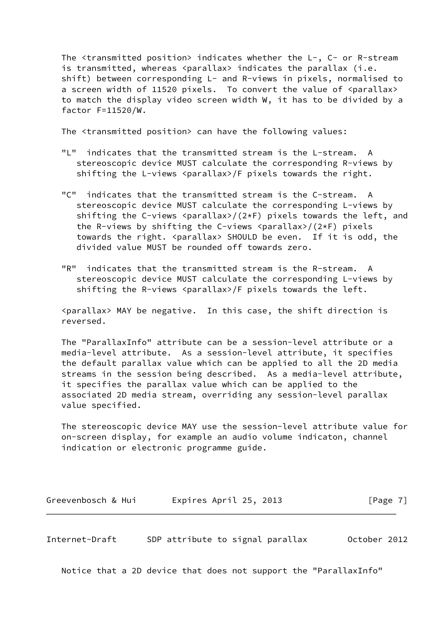The <transmitted position> indicates whether the L-, C- or R-stream is transmitted, whereas <parallax> indicates the parallax (i.e. shift) between corresponding L- and R-views in pixels, normalised to a screen width of 11520 pixels. To convert the value of <parallax> to match the display video screen width W, it has to be divided by a factor F=11520/W.

The <transmitted position> can have the following values:

- "L" indicates that the transmitted stream is the L-stream. A stereoscopic device MUST calculate the corresponding R-views by shifting the L-views <parallax>/F pixels towards the right.
- "C" indicates that the transmitted stream is the C-stream. A stereoscopic device MUST calculate the corresponding L-views by shifting the C-views <parallax>/(2\*F) pixels towards the left, and the R-views by shifting the C-views <parallax>/(2\*F) pixels towards the right. <parallax> SHOULD be even. If it is odd, the divided value MUST be rounded off towards zero.
- "R" indicates that the transmitted stream is the R-stream. A stereoscopic device MUST calculate the corresponding L-views by shifting the R-views <parallax>/F pixels towards the left.

 <parallax> MAY be negative. In this case, the shift direction is reversed.

 The "ParallaxInfo" attribute can be a session-level attribute or a media-level attribute. As a session-level attribute, it specifies the default parallax value which can be applied to all the 2D media streams in the session being described. As a media-level attribute, it specifies the parallax value which can be applied to the associated 2D media stream, overriding any session-level parallax value specified.

 The stereoscopic device MAY use the session-level attribute value for on-screen display, for example an audio volume indicaton, channel indication or electronic programme guide.

Greevenbosch & Hui Fxpires April 25, 2013 [Page 7]

Internet-Draft SDP attribute to signal parallax October 2012

Notice that a 2D device that does not support the "ParallaxInfo"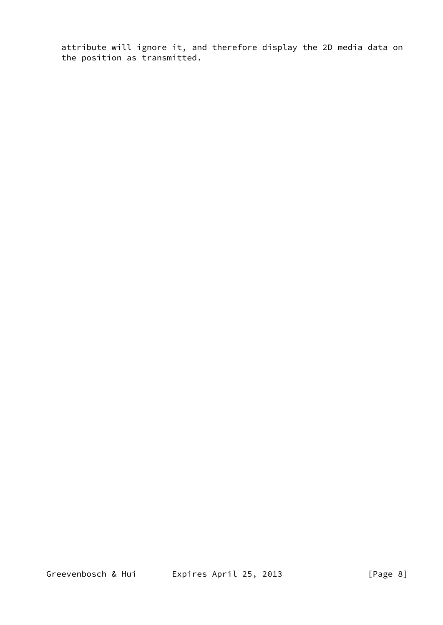attribute will ignore it, and therefore display the 2D media data on the position as transmitted.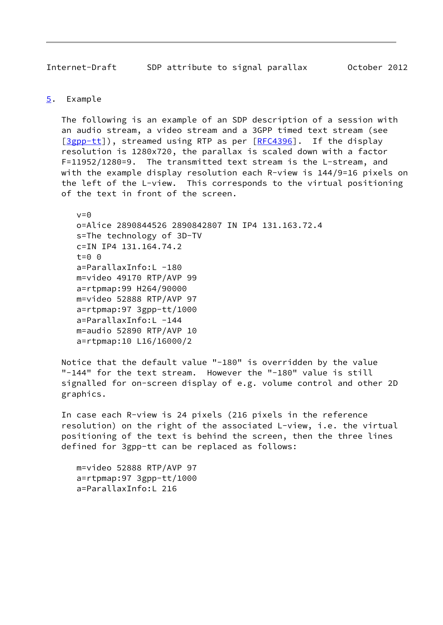## <span id="page-9-1"></span><span id="page-9-0"></span>[5](#page-9-0). Example

 The following is an example of an SDP description of a session with an audio stream, a video stream and a 3GPP timed text stream (see [\[3gpp-tt](#page-15-1)]), streamed using RTP as per [[RFC4396](https://datatracker.ietf.org/doc/pdf/rfc4396)]. If the display resolution is 1280x720, the parallax is scaled down with a factor F=11952/1280=9. The transmitted text stream is the L-stream, and with the example display resolution each R-view is 144/9=16 pixels on the left of the L-view. This corresponds to the virtual positioning of the text in front of the screen.

 $v = \Omega$  o=Alice 2890844526 2890842807 IN IP4 131.163.72.4 s=The technology of 3D-TV c=IN IP4 131.164.74.2  $t=0$   $\theta$  a=ParallaxInfo:L -180 m=video 49170 RTP/AVP 99 a=rtpmap:99 H264/90000 m=video 52888 RTP/AVP 97 a=rtpmap:97 3gpp-tt/1000 a=ParallaxInfo:L -144 m=audio 52890 RTP/AVP 10 a=rtpmap:10 L16/16000/2

 Notice that the default value "-180" is overridden by the value "-144" for the text stream. However the "-180" value is still signalled for on-screen display of e.g. volume control and other 2D graphics.

 In case each R-view is 24 pixels (216 pixels in the reference resolution) on the right of the associated L-view, i.e. the virtual positioning of the text is behind the screen, then the three lines defined for 3gpp-tt can be replaced as follows:

 m=video 52888 RTP/AVP 97 a=rtpmap:97 3gpp-tt/1000 a=ParallaxInfo:L 216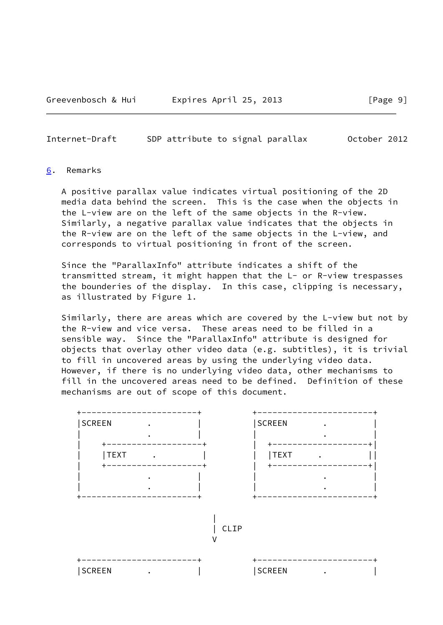#### <span id="page-10-1"></span><span id="page-10-0"></span>[6](#page-10-0). Remarks

 A positive parallax value indicates virtual positioning of the 2D media data behind the screen. This is the case when the objects in the L-view are on the left of the same objects in the R-view. Similarly, a negative parallax value indicates that the objects in the R-view are on the left of the same objects in the L-view, and corresponds to virtual positioning in front of the screen.

 Since the "ParallaxInfo" attribute indicates a shift of the transmitted stream, it might happen that the L- or R-view trespasses the bounderies of the display. In this case, clipping is necessary, as illustrated by Figure 1.

 Similarly, there are areas which are covered by the L-view but not by the R-view and vice versa. These areas need to be filled in a sensible way. Since the "ParallaxInfo" attribute is designed for objects that overlay other video data (e.g. subtitles), it is trivial to fill in uncovered areas by using the underlying video data. However, if there is no underlying video data, other mechanisms to fill in the uncovered areas need to be defined. Definition of these mechanisms are out of scope of this document.

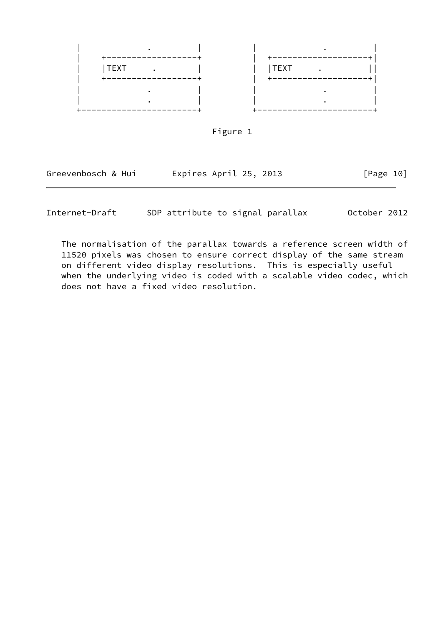



| Greevenbosch & Hui | Expires April 25, 2013 | [Page 10] |
|--------------------|------------------------|-----------|
|                    |                        |           |

 The normalisation of the parallax towards a reference screen width of 11520 pixels was chosen to ensure correct display of the same stream on different video display resolutions. This is especially useful when the underlying video is coded with a scalable video codec, which does not have a fixed video resolution.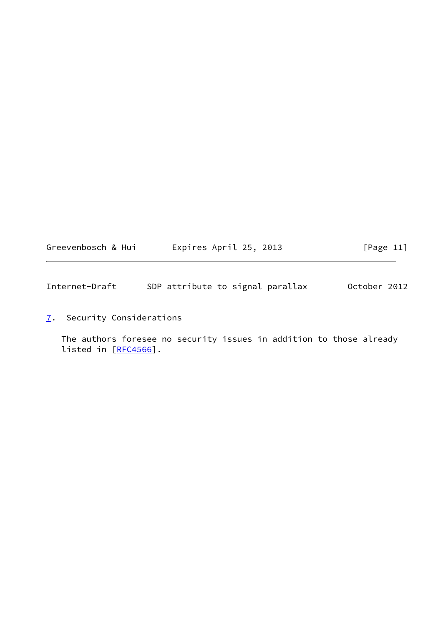<span id="page-12-1"></span>

| Greevenbosch & Hui | Expires April 25, 2013 | [Page 11] |
|--------------------|------------------------|-----------|
|--------------------|------------------------|-----------|

<span id="page-12-0"></span>[7](#page-12-0). Security Considerations

 The authors foresee no security issues in addition to those already listed in [[RFC4566](https://datatracker.ietf.org/doc/pdf/rfc4566)].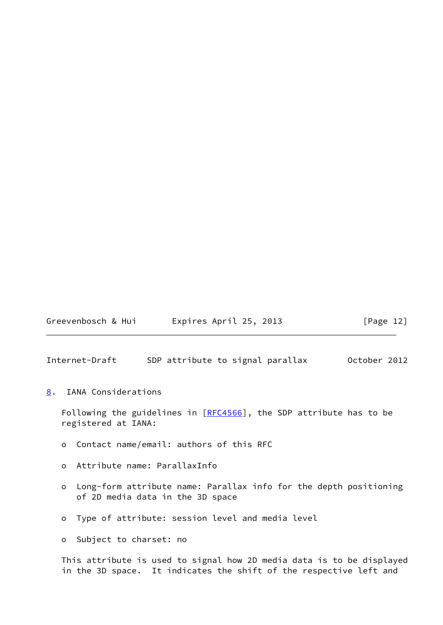Greevenbosch & Hui Fxpires April 25, 2013 [Page 12]

<span id="page-13-1"></span>Internet-Draft SDP attribute to signal parallax October 2012

<span id="page-13-0"></span>[8](#page-13-0). IANA Considerations

Following the guidelines in  $[REC4566]$ , the SDP attribute has to be registered at IANA:

- o Contact name/email: authors of this RFC
- o Attribute name: ParallaxInfo
- o Long-form attribute name: Parallax info for the depth positioning of 2D media data in the 3D space
- o Type of attribute: session level and media level
- o Subject to charset: no

 This attribute is used to signal how 2D media data is to be displayed in the 3D space. It indicates the shift of the respective left and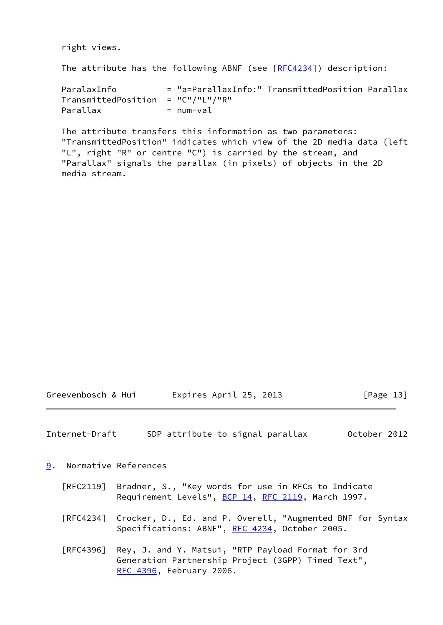right views.

The attribute has the following ABNF (see  $[RECA234]$ ) description:

| ParalaxInfo                             |           | = "a=ParallaxInfo:" TransmittedPosition Parallax |  |
|-----------------------------------------|-----------|--------------------------------------------------|--|
| $TransmittedPosition = "C" / "L" / "R"$ |           |                                                  |  |
| Parallax                                | = num-val |                                                  |  |

 The attribute transfers this information as two parameters: "TransmittedPosition" indicates which view of the 2D media data (left "L", right "R" or centre "C") is carried by the stream, and "Parallax" signals the parallax (in pixels) of objects in the 2D media stream.

| Greevenbosch & Hui | Expires April 25, 2013 |  |  |  | [Page 13] |  |
|--------------------|------------------------|--|--|--|-----------|--|
|--------------------|------------------------|--|--|--|-----------|--|

<span id="page-14-1"></span>Internet-Draft SDP attribute to signal parallax October 2012

<span id="page-14-0"></span>[9](#page-14-0). Normative References

- [RFC2119] Bradner, S., "Key words for use in RFCs to Indicate Requirement Levels", [BCP 14](https://datatracker.ietf.org/doc/pdf/bcp14), [RFC 2119](https://datatracker.ietf.org/doc/pdf/rfc2119), March 1997.
- [RFC4234] Crocker, D., Ed. and P. Overell, "Augmented BNF for Syntax Specifications: ABNF", [RFC 4234](https://datatracker.ietf.org/doc/pdf/rfc4234), October 2005.
- [RFC4396] Rey, J. and Y. Matsui, "RTP Payload Format for 3rd Generation Partnership Project (3GPP) Timed Text", [RFC 4396,](https://datatracker.ietf.org/doc/pdf/rfc4396) February 2006.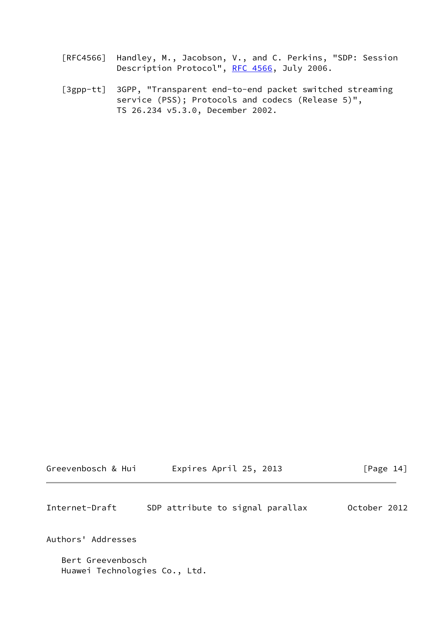- [RFC4566] Handley, M., Jacobson, V., and C. Perkins, "SDP: Session Description Protocol", [RFC 4566](https://datatracker.ietf.org/doc/pdf/rfc4566), July 2006.
- <span id="page-15-1"></span> [3gpp-tt] 3GPP, "Transparent end-to-end packet switched streaming service (PSS); Protocols and codecs (Release 5)", TS 26.234 v5.3.0, December 2002.

<span id="page-15-0"></span>

| Greevenbosch & Hui | Expires April 25, 2013 | [Page 14] |
|--------------------|------------------------|-----------|
|                    |                        |           |

Authors' Addresses

 Bert Greevenbosch Huawei Technologies Co., Ltd.